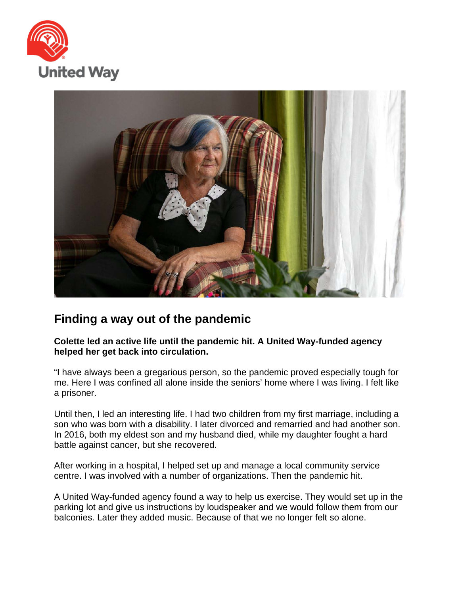



## **Finding a way out of the pandemic**

**Colette led an active life until the pandemic hit. A United Way-funded agency helped her get back into circulation.**

"I have always been a gregarious person, so the pandemic proved especially tough for me. Here I was confined all alone inside the seniors' home where I was living. I felt like a prisoner.

Until then, I led an interesting life. I had two children from my first marriage, including a son who was born with a disability. I later divorced and remarried and had another son. In 2016, both my eldest son and my husband died, while my daughter fought a hard battle against cancer, but she recovered.

After working in a hospital, I helped set up and manage a local community service centre. I was involved with a number of organizations. Then the pandemic hit.

A United Way-funded agency found a way to help us exercise. They would set up in the parking lot and give us instructions by loudspeaker and we would follow them from our balconies. Later they added music. Because of that we no longer felt so alone.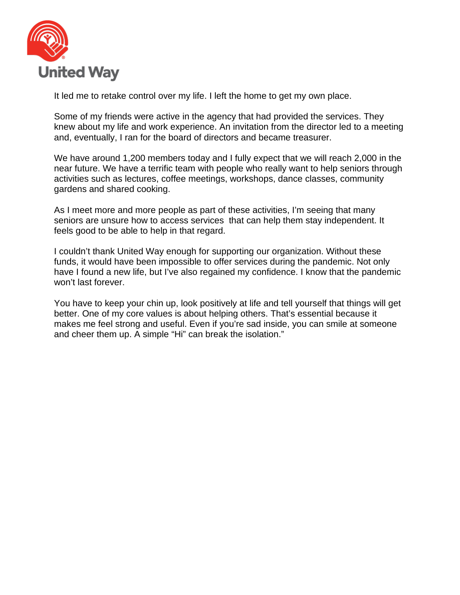

It led me to retake control over my life. I left the home to get my own place.

Some of my friends were active in the agency that had provided the services. They knew about my life and work experience. An invitation from the director led to a meeting and, eventually, I ran for the board of directors and became treasurer.

We have around 1,200 members today and I fully expect that we will reach 2,000 in the near future. We have a terrific team with people who really want to help seniors through activities such as lectures, coffee meetings, workshops, dance classes, community gardens and shared cooking.

As I meet more and more people as part of these activities, I'm seeing that many seniors are unsure how to access services that can help them stay independent. It feels good to be able to help in that regard.

I couldn't thank United Way enough for supporting our organization. Without these funds, it would have been impossible to offer services during the pandemic. Not only have I found a new life, but I've also regained my confidence. I know that the pandemic won't last forever.

You have to keep your chin up, look positively at life and tell yourself that things will get better. One of my core values is about helping others. That's essential because it makes me feel strong and useful. Even if you're sad inside, you can smile at someone and cheer them up. A simple "Hi" can break the isolation."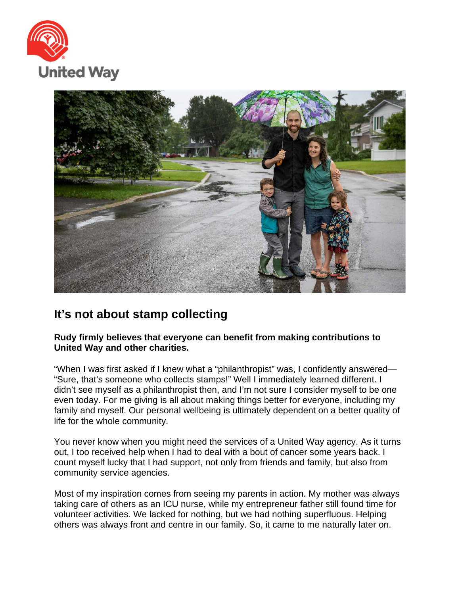



## **It's not about stamp collecting**

## **Rudy firmly believes that everyone can benefit from making contributions to United Way and other charities.**

"When I was first asked if I knew what a "philanthropist" was, I confidently answered— "Sure, that's someone who collects stamps!" Well I immediately learned different. I didn't see myself as a philanthropist then, and I'm not sure I consider myself to be one even today. For me giving is all about making things better for everyone, including my family and myself. Our personal wellbeing is ultimately dependent on a better quality of life for the whole community.

You never know when you might need the services of a United Way agency. As it turns out, I too received help when I had to deal with a bout of cancer some years back. I count myself lucky that I had support, not only from friends and family, but also from community service agencies.

Most of my inspiration comes from seeing my parents in action. My mother was always taking care of others as an ICU nurse, while my entrepreneur father still found time for volunteer activities. We lacked for nothing, but we had nothing superfluous. Helping others was always front and centre in our family. So, it came to me naturally later on.